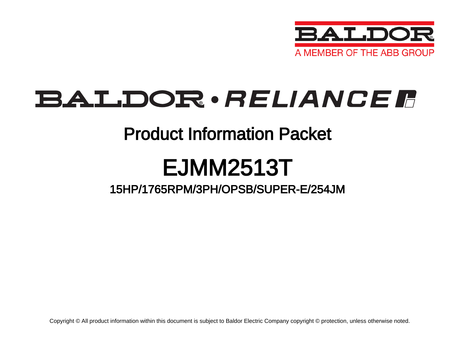

## BALDOR · RELIANCE F

### Product Information Packet

# EJMM2513T

### 15HP/1765RPM/3PH/OPSB/SUPER-E/254JM

Copyright © All product information within this document is subject to Baldor Electric Company copyright © protection, unless otherwise noted.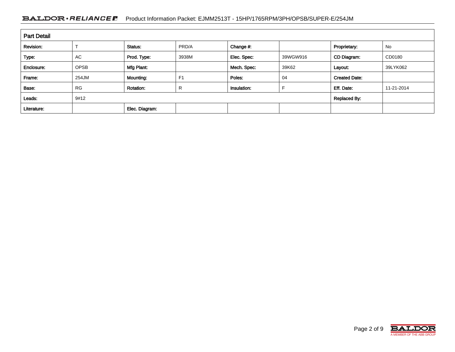#### BALDOR · RELIANCE F Product Information Packet: EJMM2513T - 15HP/1765RPM/3PH/OPSB/SUPER-E/254JM

| <b>Part Detail</b> |             |                  |                     |             |          |                      |            |  |  |
|--------------------|-------------|------------------|---------------------|-------------|----------|----------------------|------------|--|--|
| Revision:          |             | Status:          | PRD/A               | Change #:   |          | Proprietary:         | No         |  |  |
| Type:              | AC          | Prod. Type:      | 3938M               | Elec. Spec: | 39WGW916 | CD Diagram:          | CD0180     |  |  |
| Enclosure:         | <b>OPSB</b> | Mfg Plant:       |                     | Mech. Spec: | 39K62    | Layout:              | 39LYK062   |  |  |
| Frame:             | 254JM       | <b>Mounting:</b> | F <sub>1</sub>      | Poles:      | 04       | <b>Created Date:</b> |            |  |  |
| Base:              | <b>RG</b>   | <b>Rotation:</b> | R                   | Insulation: |          | Eff. Date:           | 11-21-2014 |  |  |
| Leads:             | 9#12        |                  | <b>Replaced By:</b> |             |          |                      |            |  |  |
| Literature:        |             | Elec. Diagram:   |                     |             |          |                      |            |  |  |

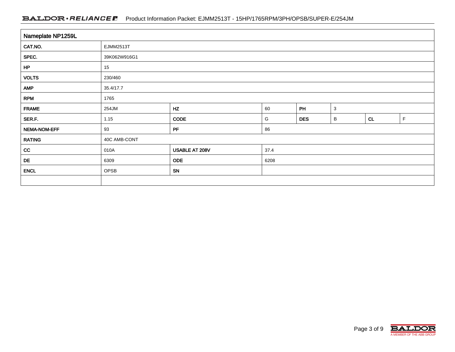#### BALDOR · RELIANCE F Product Information Packet: EJMM2513T - 15HP/1765RPM/3PH/OPSB/SUPER-E/254JM

| Nameplate NP1259L |              |                |      |                    |   |    |             |  |  |  |
|-------------------|--------------|----------------|------|--------------------|---|----|-------------|--|--|--|
| CAT.NO.           | EJMM2513T    |                |      |                    |   |    |             |  |  |  |
| SPEC.             | 39K062W916G1 |                |      |                    |   |    |             |  |  |  |
| HP                | 15           |                |      |                    |   |    |             |  |  |  |
| <b>VOLTS</b>      | 230/460      |                |      |                    |   |    |             |  |  |  |
| <b>AMP</b>        | 35.4/17.7    |                |      |                    |   |    |             |  |  |  |
| <b>RPM</b>        | 1765         |                |      |                    |   |    |             |  |  |  |
| <b>FRAME</b>      | 254JM        | HZ             | 60   | PH<br>$\mathbf{3}$ |   |    |             |  |  |  |
| SER.F.            | 1.15         | <b>CODE</b>    | G    | <b>DES</b>         | B | CL | $\mathsf F$ |  |  |  |
| NEMA-NOM-EFF      | 93           | PF             | 86   |                    |   |    |             |  |  |  |
| <b>RATING</b>     | 40C AMB-CONT |                |      |                    |   |    |             |  |  |  |
| cc                | 010A         | USABLE AT 208V | 37.4 |                    |   |    |             |  |  |  |
| DE                | 6309         | <b>ODE</b>     | 6208 |                    |   |    |             |  |  |  |
| <b>ENCL</b>       | OPSB         | SN             |      |                    |   |    |             |  |  |  |
|                   |              |                |      |                    |   |    |             |  |  |  |

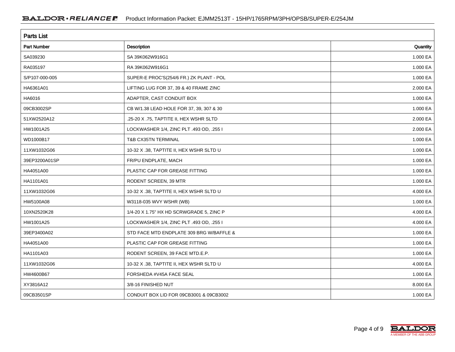| <b>Parts List</b>  |                                          |          |  |  |  |  |
|--------------------|------------------------------------------|----------|--|--|--|--|
| <b>Part Number</b> | Description                              | Quantity |  |  |  |  |
| SA039230           | SA 39K062W916G1                          | 1.000 EA |  |  |  |  |
| RA035197           | RA 39K062W916G1                          | 1.000 EA |  |  |  |  |
| S/P107-000-005     | SUPER-E PROC'S(254/6 FR.) ZK PLANT - POL | 1.000 EA |  |  |  |  |
| HA6361A01          | LIFTING LUG FOR 37, 39 & 40 FRAME ZINC   | 2.000 EA |  |  |  |  |
| HA6016             | ADAPTER, CAST CONDUIT BOX                | 1.000 EA |  |  |  |  |
| 09CB3002SP         | CB W/1.38 LEAD HOLE FOR 37, 39, 307 & 30 | 1.000 EA |  |  |  |  |
| 51XW2520A12        | .25-20 X .75, TAPTITE II, HEX WSHR SLTD  | 2.000 EA |  |  |  |  |
| HW1001A25          | LOCKWASHER 1/4, ZINC PLT .493 OD, .255 I | 2.000 EA |  |  |  |  |
| WD1000B17          | <b>T&amp;B CX35TN TERMINAL</b>           | 1.000 EA |  |  |  |  |
| 11XW1032G06        | 10-32 X .38, TAPTITE II, HEX WSHR SLTD U | 1.000 EA |  |  |  |  |
| 39EP3200A01SP      | FR/PU ENDPLATE, MACH                     | 1.000 EA |  |  |  |  |
| HA4051A00          | PLASTIC CAP FOR GREASE FITTING           | 1.000 EA |  |  |  |  |
| HA1101A01          | RODENT SCREEN, 39 MTR                    | 1.000 EA |  |  |  |  |
| 11XW1032G06        | 10-32 X .38, TAPTITE II, HEX WSHR SLTD U | 4.000 EA |  |  |  |  |
| HW5100A08          | W3118-035 WVY WSHR (WB)                  | 1.000 EA |  |  |  |  |
| 10XN2520K28        | 1/4-20 X 1.75" HX HD SCRWGRADE 5, ZINC P | 4.000 EA |  |  |  |  |
| HW1001A25          | LOCKWASHER 1/4, ZINC PLT .493 OD, .255 I | 4.000 EA |  |  |  |  |
| 39EP3400A02        | STD FACE MTD ENDPLATE 309 BRG W/BAFFLE & | 1.000 EA |  |  |  |  |
| HA4051A00          | PLASTIC CAP FOR GREASE FITTING           | 1.000 EA |  |  |  |  |
| HA1101A03          | RODENT SCREEN, 39 FACE MTD.E.P.          | 1.000 EA |  |  |  |  |
| 11XW1032G06        | 10-32 X .38, TAPTITE II, HEX WSHR SLTD U | 4.000 EA |  |  |  |  |
| HW4600B67          | FORSHEDA #V45A FACE SEAL                 | 1.000 EA |  |  |  |  |
| XY3816A12          | 3/8-16 FINISHED NUT                      | 8.000 EA |  |  |  |  |
| 09CB3501SP         | CONDUIT BOX LID FOR 09CB3001 & 09CB3002  | 1.000 EA |  |  |  |  |

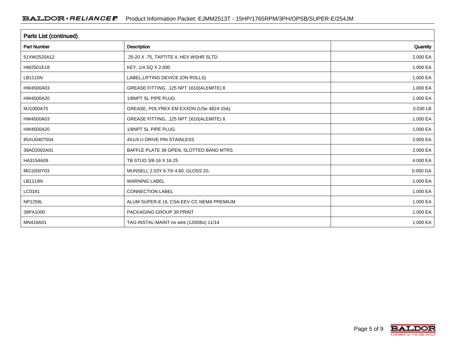| <b>Parts List (continued)</b> |                                          |          |  |  |  |  |
|-------------------------------|------------------------------------------|----------|--|--|--|--|
| <b>Part Number</b>            | <b>Description</b>                       | Quantity |  |  |  |  |
| 51XW2520A12                   | .25-20 X .75, TAPTITE II, HEX WSHR SLTD  | 2.000 EA |  |  |  |  |
| HW2501E18                     | KEY, 1/4 SQ X 2.000                      | 1.000 EA |  |  |  |  |
| LB1115N                       | LABEL, LIFTING DEVICE (ON ROLLS)         | 1.000 EA |  |  |  |  |
| HW4500A03                     | GREASE FITTING, .125 NPT 1610(ALEMITE) 8 | 1.000 EA |  |  |  |  |
| HW4500A20                     | 1/8NPT SL PIPE PLUG                      | 1.000 EA |  |  |  |  |
| MJ1000A75                     | GREASE, POLYREX EM EXXON (USe 4824-15A)  | 0.030 LB |  |  |  |  |
| HW4500A03                     | GREASE FITTING, .125 NPT 1610(ALEMITE) 8 | 1.000 EA |  |  |  |  |
| HW4500A20                     | 1/8NPT SL PIPE PLUG                      | 1.000 EA |  |  |  |  |
| 85XU0407S04                   | 4X1/4 U DRIVE PIN STAINLESS              | 2.000 EA |  |  |  |  |
| 39AD2002A01                   | BAFFLE PLATE 39 OPEN, SLOTTED BAND MTRS  | 2.000 EA |  |  |  |  |
| HA3154A09                     | TB STUD 3/8-16 X 16.25                   | 4.000 EA |  |  |  |  |
| MG1000Y03                     | MUNSELL 2.53Y 6.70/ 4.60, GLOSS 20,      | 0.050 GA |  |  |  |  |
| LB1119N                       | <b>WARNING LABEL</b>                     | 1.000 EA |  |  |  |  |
| LC0181                        | <b>CONNECTION LABEL</b>                  | 1.000 EA |  |  |  |  |
| <b>NP1259L</b>                | ALUM SUPER-E UL CSA-EEV CC NEMA PREMIUM  | 1.000 EA |  |  |  |  |
| 39PA1000                      | PACKAGING GROUP 39 PRINT                 | 1.000 EA |  |  |  |  |
| MN416A01                      | TAG-INSTAL-MAINT no wire (1200/bx) 11/14 | 1.000 EA |  |  |  |  |

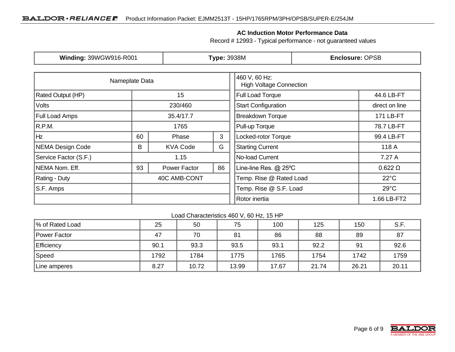#### **AC Induction Motor Performance Data**

Record # 12993 - Typical performance - not guaranteed values

| Winding: 39WGW916-R001  |              | <b>Type: 3938M</b> |                                                 |                            | <b>Enclosure: OPSB</b> |                |  |
|-------------------------|--------------|--------------------|-------------------------------------------------|----------------------------|------------------------|----------------|--|
| Nameplate Data          |              |                    | 460 V, 60 Hz:<br><b>High Voltage Connection</b> |                            |                        |                |  |
| Rated Output (HP)       | 15           |                    |                                                 |                            | 44.6 LB-FT             |                |  |
| Volts                   |              | 230/460            |                                                 | <b>Start Configuration</b> |                        | direct on line |  |
| Full Load Amps          |              | 35.4/17.7          |                                                 | <b>Breakdown Torque</b>    |                        | 171 LB-FT      |  |
| R.P.M.                  |              | 1765               |                                                 | Pull-up Torque             |                        | 78.7 LB-FT     |  |
| Hz                      | 60           | Phase              | 3                                               | Locked-rotor Torque        |                        | 99.4 LB-FT     |  |
| <b>NEMA Design Code</b> | B            | <b>KVA Code</b>    | G<br><b>Starting Current</b>                    |                            |                        | 118 A          |  |
| Service Factor (S.F.)   | 1.15         |                    |                                                 | No-load Current            |                        | 7.27 A         |  |
| NEMA Nom. Eff.          |              | Power Factor       | 86                                              | Line-line Res. @ 25°C      |                        | $0.622 \Omega$ |  |
| Rating - Duty           | 40C AMB-CONT |                    |                                                 | Temp. Rise @ Rated Load    |                        | $22^{\circ}$ C |  |
| S.F. Amps               |              |                    |                                                 | Temp. Rise @ S.F. Load     |                        | $29^{\circ}$ C |  |
|                         |              |                    |                                                 | Rotor inertia              |                        | 1.66 LB-FT2    |  |

#### Load Characteristics 460 V, 60 Hz, 15 HP

| % of Rated Load | 25   | 50    | 75    | 100   | 125   | 150   | S.F.  |
|-----------------|------|-------|-------|-------|-------|-------|-------|
| Power Factor    | 47   | 70    | 81    | 86    | 88    | 89    | 87    |
| Efficiency      | 90.1 | 93.3  | 93.5  | 93.1  | 92.2  | 91    | 92.6  |
| Speed           | 1792 | 1784  | 1775  | 1765  | 1754  | 1742  | 1759  |
| Line amperes    | 8.27 | 10.72 | 13.99 | 17.67 | 21.74 | 26.21 | 20.11 |

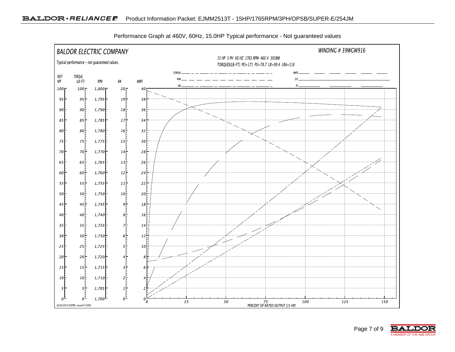

Performance Graph at 460V, 60Hz, 15.0HP Typical performance - Not guaranteed values

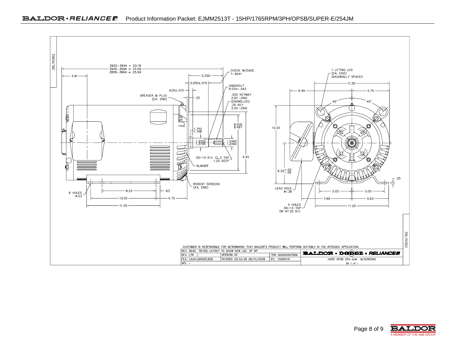